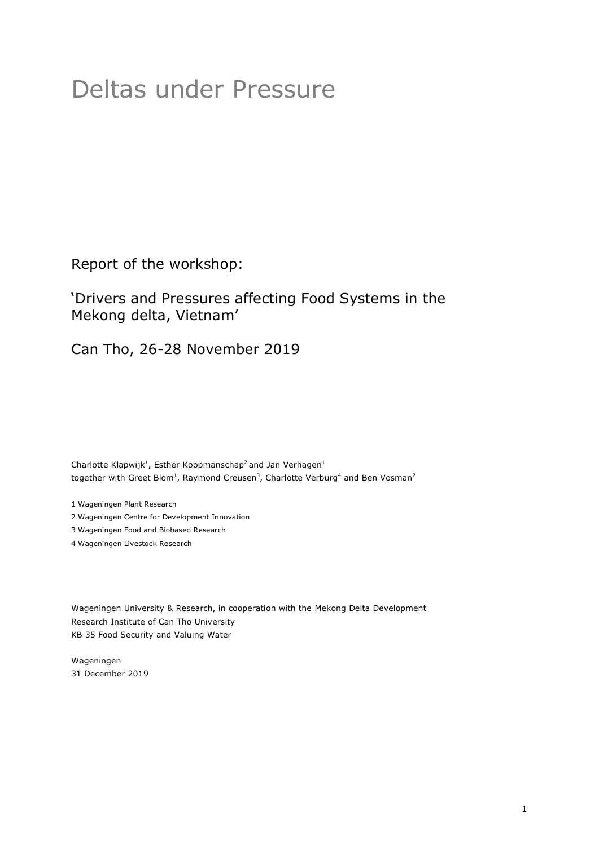# Deltas under Pressure

Report of the workshop:

'Drivers and Pressures affecting Food Systems in the Mekong delta, Vietnam'

Can Tho, 26-28 November 2019

Charlotte Klapwijk<sup>1</sup>, Esther Koopmanschap<sup>2</sup> and Jan Verhagen<sup>1</sup> together with Greet Blom<sup>1</sup>, Raymond Creusen<sup>3</sup>, Charlotte Verburg<sup>4</sup> and Ben Vosman<sup>2</sup>

1 Wageningen Plant Research

2 Wageningen Centre for Development Innovation

3 Wageningen Food and Biobased Research

4 Wageningen Livestock Research

Wageningen University & Research, in cooperation with the Mekong Delta Development Research Institute of Can Tho University KB 35 Food Security and Valuing Water

Wageningen 31 December 2019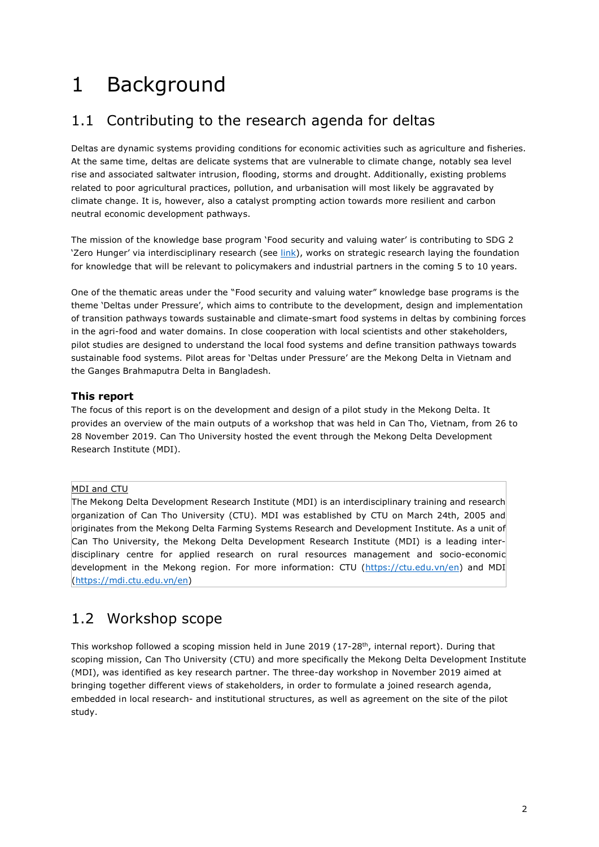# 1 Background

## 1.1 Contributing to the research agenda for deltas

Deltas are dynamic systems providing conditions for economic activities such as agriculture and fisheries. At the same time, deltas are delicate systems that are vulnerable to climate change, notably sea level rise and associated saltwater intrusion, flooding, storms and drought. Additionally, existing problems related to poor agricultural practices, pollution, and urbanisation will most likely be aggravated by climate change. It is, however, also a catalyst prompting action towards more resilient and carbon neutral economic development pathways.

The mission of the knowledge base program 'Food security and valuing water' is contributing to SDG 2 'Zero Hunger' via interdisciplinary research (see link), works on strategic research laying the foundation for knowledge that will be relevant to policymakers and industrial partners in the coming 5 to 10 years.

One of the thematic areas under the "Food security and valuing water" knowledge base programs is the theme 'Deltas under Pressure', which aims to contribute to the development, design and implementation of transition pathways towards sustainable and climate-smart food systems in deltas by combining forces in the agri-food and water domains. In close cooperation with local scientists and other stakeholders, pilot studies are designed to understand the local food systems and define transition pathways towards sustainable food systems. Pilot areas for 'Deltas under Pressure' are the Mekong Delta in Vietnam and the Ganges Brahmaputra Delta in Bangladesh.

#### **This report**

The focus of this report is on the development and design of a pilot study in the Mekong Delta. It provides an overview of the main outputs of a workshop that was held in Can Tho, Vietnam, from 26 to 28 November 2019. Can Tho University hosted the event through the Mekong Delta Development Research Institute (MDI).

#### MDI and CTU

The Mekong Delta Development Research Institute (MDI) is an interdisciplinary training and research organization of Can Tho University (CTU). MDI was established by CTU on March 24th, 2005 and originates from the Mekong Delta Farming Systems Research and Development Institute. As a unit of Can Tho University, the Mekong Delta Development Research Institute (MDI) is a leading interdisciplinary centre for applied research on rural resources management and socio-economic development in the Mekong region. For more information: CTU (https://ctu.edu.vn/en) and MDI (https://mdi.ctu.edu.vn/en)

## 1.2 Workshop scope

This workshop followed a scoping mission held in June 2019 (17-28<sup>th</sup>, internal report). During that scoping mission, Can Tho University (CTU) and more specifically the Mekong Delta Development Institute (MDI), was identified as key research partner. The three-day workshop in November 2019 aimed at bringing together different views of stakeholders, in order to formulate a joined research agenda, embedded in local research- and institutional structures, as well as agreement on the site of the pilot study.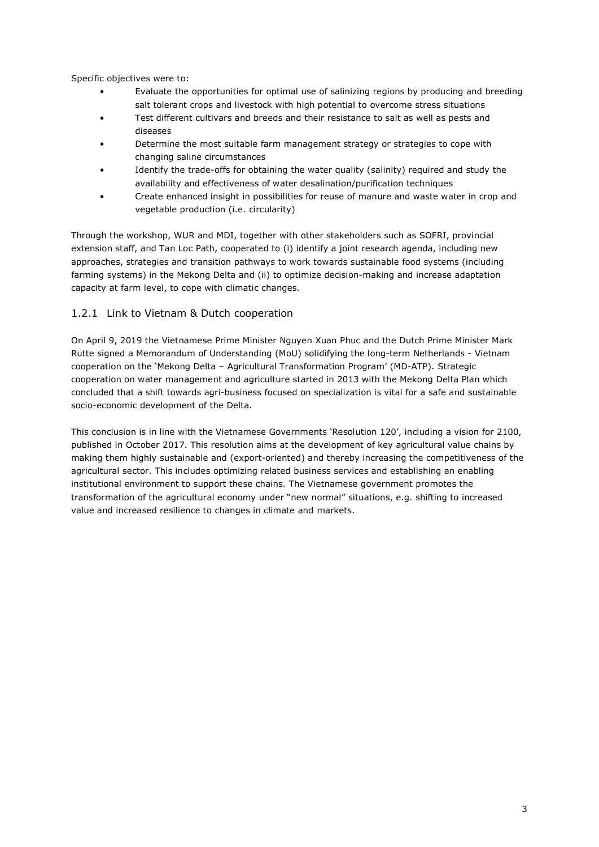Specific objectives were to:

- Evaluate the opportunities for optimal use of salinizing regions by producing and breeding salt tolerant crops and livestock with high potential to overcome stress situations
- Test different cultivars and breeds and their resistance to salt as well as pests and diseases
- Determine the most suitable farm management strategy or strategies to cope with changing saline circumstances
- Identify the trade-offs for obtaining the water quality (salinity) required and study the availability and effectiveness of water desalination/purification techniques
- Create enhanced insight in possibilities for reuse of manure and waste water in crop and vegetable production (i.e. circularity)

Through the workshop, WUR and MDI, together with other stakeholders such as SOFRI, provincial extension staff, and Tan Loc Path, cooperated to (i) identify a joint research agenda, including new approaches, strategies and transition pathways to work towards sustainable food systems (including farming systems) in the Mekong Delta and (ii) to optimize decision-making and increase adaptation capacity at farm level, to cope with climatic changes.

#### 1.2.1 Link to Vietnam & Dutch cooperation

On April 9, 2019 the Vietnamese Prime Minister Nguyen Xuan Phuc and the Dutch Prime Minister Mark Rutte signed a Memorandum of Understanding (MoU) solidifying the long-term Netherlands - Vietnam cooperation on the 'Mekong Delta – Agricultural Transformation Program' (MD-ATP). Strategic cooperation on water management and agriculture started in 2013 with the Mekong Delta Plan which concluded that a shift towards agri-business focused on specialization is vital for a safe and sustainable socio-economic development of the Delta.

This conclusion is in line with the Vietnamese Governments 'Resolution 120', including a vision for 2100, published in October 2017. This resolution aims at the development of key agricultural value chains by making them highly sustainable and (export-oriented) and thereby increasing the competitiveness of the agricultural sector. This includes optimizing related business services and establishing an enabling institutional environment to support these chains. The Vietnamese government promotes the transformation of the agricultural economy under "new normal" situations, e.g. shifting to increased value and increased resilience to changes in climate and markets.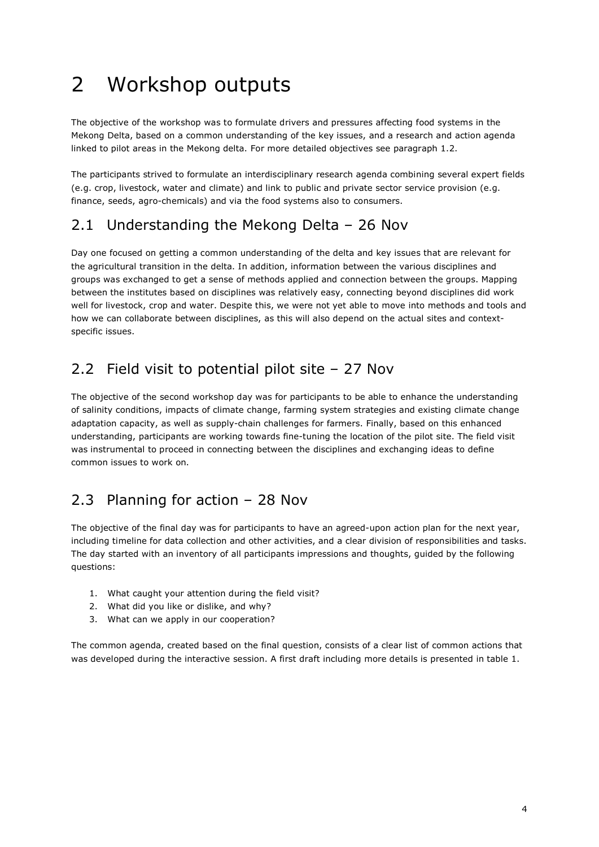## 2 Workshop outputs

The objective of the workshop was to formulate drivers and pressures affecting food systems in the Mekong Delta, based on a common understanding of the key issues, and a research and action agenda linked to pilot areas in the Mekong delta. For more detailed objectives see paragraph 1.2.

The participants strived to formulate an interdisciplinary research agenda combining several expert fields (e.g. crop, livestock, water and climate) and link to public and private sector service provision (e.g. finance, seeds, agro-chemicals) and via the food systems also to consumers.

### 2.1 Understanding the Mekong Delta – 26 Nov

Day one focused on getting a common understanding of the delta and key issues that are relevant for the agricultural transition in the delta. In addition, information between the various disciplines and groups was exchanged to get a sense of methods applied and connection between the groups. Mapping between the institutes based on disciplines was relatively easy, connecting beyond disciplines did work well for livestock, crop and water. Despite this, we were not yet able to move into methods and tools and how we can collaborate between disciplines, as this will also depend on the actual sites and contextspecific issues.

### 2.2 Field visit to potential pilot site – 27 Nov

The objective of the second workshop day was for participants to be able to enhance the understanding of salinity conditions, impacts of climate change, farming system strategies and existing climate change adaptation capacity, as well as supply-chain challenges for farmers. Finally, based on this enhanced understanding, participants are working towards fine-tuning the location of the pilot site. The field visit was instrumental to proceed in connecting between the disciplines and exchanging ideas to define common issues to work on.

## 2.3 Planning for action – 28 Nov

The objective of the final day was for participants to have an agreed-upon action plan for the next year, including timeline for data collection and other activities, and a clear division of responsibilities and tasks. The day started with an inventory of all participants impressions and thoughts, guided by the following questions:

- 1. What caught your attention during the field visit?
- 2. What did you like or dislike, and why?
- 3. What can we apply in our cooperation?

The common agenda, created based on the final question, consists of a clear list of common actions that was developed during the interactive session. A first draft including more details is presented in table 1.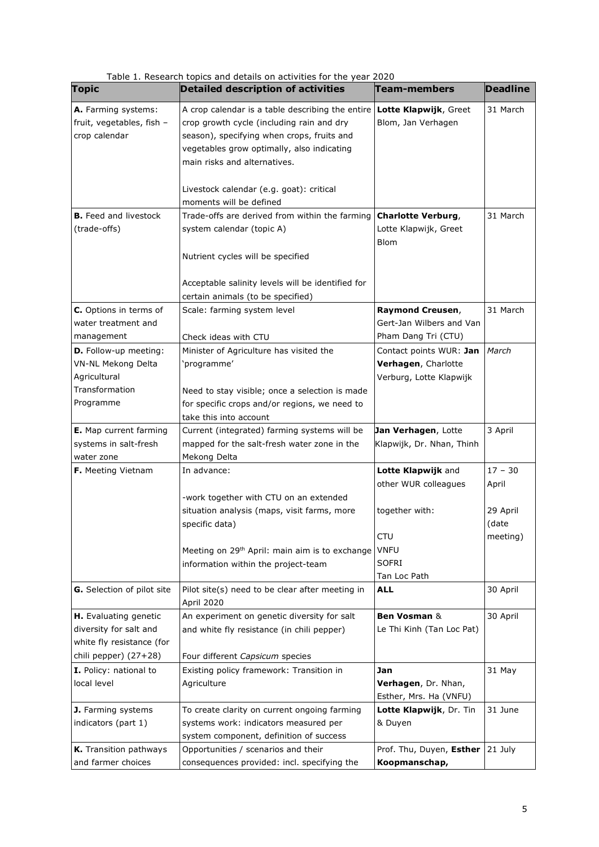| <b>Topic</b>                                                      | Table 1. Research topics and details on activities for the year 2020<br><b>Detailed description of activities</b>                                                                                                         | Team-members                                                      | <b>Deadline</b> |
|-------------------------------------------------------------------|---------------------------------------------------------------------------------------------------------------------------------------------------------------------------------------------------------------------------|-------------------------------------------------------------------|-----------------|
|                                                                   |                                                                                                                                                                                                                           |                                                                   |                 |
| A. Farming systems:<br>fruit, vegetables, fish -<br>crop calendar | A crop calendar is a table describing the entire<br>crop growth cycle (including rain and dry<br>season), specifying when crops, fruits and<br>vegetables grow optimally, also indicating<br>main risks and alternatives. | Lotte Klapwijk, Greet<br>Blom, Jan Verhagen                       | 31 March        |
|                                                                   | Livestock calendar (e.g. goat): critical                                                                                                                                                                                  |                                                                   |                 |
|                                                                   | moments will be defined                                                                                                                                                                                                   |                                                                   |                 |
| <b>B.</b> Feed and livestock<br>(trade-offs)                      | Trade-offs are derived from within the farming<br>system calendar (topic A)                                                                                                                                               | <b>Charlotte Verburg,</b><br>Lotte Klapwijk, Greet<br><b>Blom</b> | 31 March        |
|                                                                   | Nutrient cycles will be specified<br>Acceptable salinity levels will be identified for<br>certain animals (to be specified)                                                                                               |                                                                   |                 |
| C. Options in terms of                                            | Scale: farming system level                                                                                                                                                                                               | Raymond Creusen,                                                  | 31 March        |
| water treatment and                                               |                                                                                                                                                                                                                           | Gert-Jan Wilbers and Van                                          |                 |
| management                                                        | Check ideas with CTU                                                                                                                                                                                                      | Pham Dang Tri (CTU)                                               |                 |
| <b>D.</b> Follow-up meeting:                                      | Minister of Agriculture has visited the                                                                                                                                                                                   | Contact points WUR: Jan                                           | March           |
| VN-NL Mekong Delta                                                | 'programme'                                                                                                                                                                                                               | Verhagen, Charlotte                                               |                 |
| Agricultural                                                      |                                                                                                                                                                                                                           | Verburg, Lotte Klapwijk                                           |                 |
| Transformation                                                    | Need to stay visible; once a selection is made                                                                                                                                                                            |                                                                   |                 |
| Programme                                                         | for specific crops and/or regions, we need to                                                                                                                                                                             |                                                                   |                 |
|                                                                   | take this into account                                                                                                                                                                                                    |                                                                   |                 |
| E. Map current farming                                            | Current (integrated) farming systems will be                                                                                                                                                                              | Jan Verhagen, Lotte                                               | 3 April         |
| systems in salt-fresh                                             | mapped for the salt-fresh water zone in the                                                                                                                                                                               | Klapwijk, Dr. Nhan, Thinh                                         |                 |
| water zone                                                        | Mekong Delta                                                                                                                                                                                                              |                                                                   |                 |
| <b>F.</b> Meeting Vietnam                                         | In advance:                                                                                                                                                                                                               | Lotte Klapwijk and                                                | $17 - 30$       |
|                                                                   |                                                                                                                                                                                                                           | other WUR colleagues                                              | April           |
|                                                                   | -work together with CTU on an extended                                                                                                                                                                                    |                                                                   |                 |
|                                                                   | situation analysis (maps, visit farms, more                                                                                                                                                                               | together with:                                                    | 29 April        |
|                                                                   | specific data)                                                                                                                                                                                                            |                                                                   | (date           |
|                                                                   |                                                                                                                                                                                                                           | <b>CTU</b>                                                        | meeting)        |
|                                                                   | Meeting on 29 <sup>th</sup> April: main aim is to exchange                                                                                                                                                                | <b>VNFU</b>                                                       |                 |
|                                                                   | information within the project-team                                                                                                                                                                                       | SOFRI                                                             |                 |
|                                                                   |                                                                                                                                                                                                                           | Tan Loc Path                                                      |                 |
| G. Selection of pilot site                                        | Pilot site(s) need to be clear after meeting in<br>April 2020                                                                                                                                                             | <b>ALL</b>                                                        | 30 April        |
| <b>H.</b> Evaluating genetic                                      | An experiment on genetic diversity for salt                                                                                                                                                                               | Ben Vosman &                                                      | 30 April        |
| diversity for salt and                                            | and white fly resistance (in chili pepper)                                                                                                                                                                                | Le Thi Kinh (Tan Loc Pat)                                         |                 |
| white fly resistance (for                                         |                                                                                                                                                                                                                           |                                                                   |                 |
| chili pepper) (27+28)                                             | Four different Capsicum species                                                                                                                                                                                           |                                                                   |                 |
| I. Policy: national to                                            | Existing policy framework: Transition in                                                                                                                                                                                  | Jan                                                               | 31 May          |
| local level                                                       | Agriculture                                                                                                                                                                                                               | Verhagen, Dr. Nhan,                                               |                 |
|                                                                   |                                                                                                                                                                                                                           | Esther, Mrs. Ha (VNFU)                                            |                 |
| J. Farming systems                                                | To create clarity on current ongoing farming                                                                                                                                                                              | Lotte Klapwijk, Dr. Tin                                           | 31 June         |
| indicators (part 1)                                               | systems work: indicators measured per                                                                                                                                                                                     | & Duyen                                                           |                 |
|                                                                   | system component, definition of success                                                                                                                                                                                   |                                                                   |                 |
| K. Transition pathways                                            | Opportunities / scenarios and their                                                                                                                                                                                       | Prof. Thu, Duyen, Esther                                          | 21 July         |
| and farmer choices                                                | consequences provided: incl. specifying the                                                                                                                                                                               | Koopmanschap,                                                     |                 |

Table 1. Research topics and details on activities for the year 2020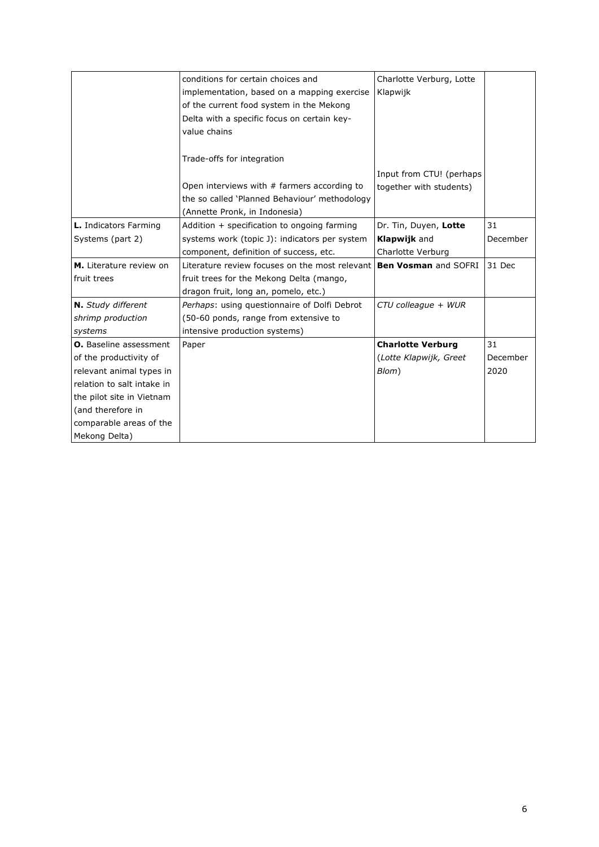|                               | conditions for certain choices and                                         | Charlotte Verburg, Lotte |          |
|-------------------------------|----------------------------------------------------------------------------|--------------------------|----------|
|                               | implementation, based on a mapping exercise                                | Klapwijk                 |          |
|                               | of the current food system in the Mekong                                   |                          |          |
|                               | Delta with a specific focus on certain key-                                |                          |          |
|                               | value chains                                                               |                          |          |
|                               |                                                                            |                          |          |
|                               | Trade-offs for integration                                                 |                          |          |
|                               |                                                                            | Input from CTU! (perhaps |          |
|                               | Open interviews with $#$ farmers according to                              | together with students)  |          |
|                               | the so called 'Planned Behaviour' methodology                              |                          |          |
|                               | (Annette Pronk, in Indonesia)                                              |                          |          |
| L. Indicators Farming         | Addition $+$ specification to ongoing farming                              | Dr. Tin, Duyen, Lotte    | 31       |
| Systems (part 2)              | systems work (topic J): indicators per system                              | <b>Klapwijk</b> and      | December |
|                               | component, definition of success, etc.                                     | Charlotte Verburg        |          |
| M. Literature review on       | Literature review focuses on the most relevant <b>Ben Vosman</b> and SOFRI |                          | 31 Dec   |
| fruit trees                   | fruit trees for the Mekong Delta (mango,                                   |                          |          |
|                               | dragon fruit, long an, pomelo, etc.)                                       |                          |          |
| N. Study different            | Perhaps: using questionnaire of Dolfi Debrot                               | CTU colleague + WUR      |          |
| shrimp production             | (50-60 ponds, range from extensive to                                      |                          |          |
| systems                       | intensive production systems)                                              |                          |          |
| <b>O.</b> Baseline assessment | Paper                                                                      | <b>Charlotte Verburg</b> | 31       |
| of the productivity of        |                                                                            | (Lotte Klapwijk, Greet   | December |
| relevant animal types in      |                                                                            | Blom)                    | 2020     |
| relation to salt intake in    |                                                                            |                          |          |
| the pilot site in Vietnam     |                                                                            |                          |          |
| (and therefore in             |                                                                            |                          |          |
| comparable areas of the       |                                                                            |                          |          |
| Mekong Delta)                 |                                                                            |                          |          |